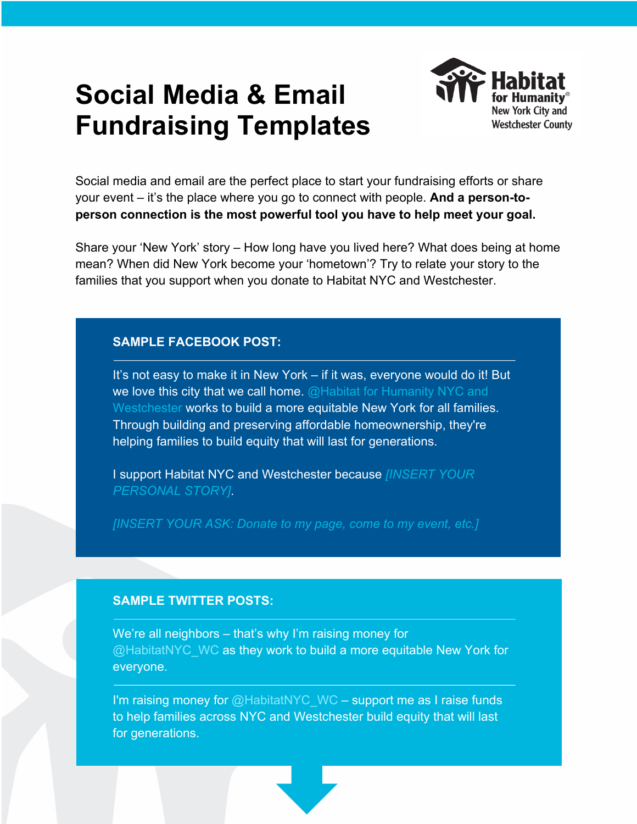# **Social Media & Email Fundraising Templates**



Social media and email are the perfect place to start your fundraising efforts or share your event – it's the place where you go to connect with people. **And a person-toperson connection is the most powerful tool you have to help meet your goal.** 

Share your 'New York' story – How long have you lived here? What does being at home mean? When did New York become your 'hometown'? Try to relate your story to the families that you support when you donate to Habitat NYC and Westchester.

## **SAMPLE FACEBOOK POST:**

It's not easy to make it in New York – if it was, everyone would do it! But we love this city that we call home.  $@$  Habitat for Humanity NYC and Westchester works to build a more equitable New York for all families. Through building and preserving affordable homeownership, they're helping families to build equity that will last for generations.

I support Habitat NYC and Westchester because *[INSERT YOUR PERSONAL STORY]*.

*[INSERT YOUR ASK: Donate to my page, come to my event, etc.]* 

## **SAMPLE TWITTER POSTS:**

We're all neighbors – that's why I'm raising money for @HabitatNYC\_WC as they work to build a more equitable New York for everyone.

I'm raising money for  $@$  Habitat NYC WC – support me as I raise funds to help families across NYC and Westchester build equity that will last for generations.